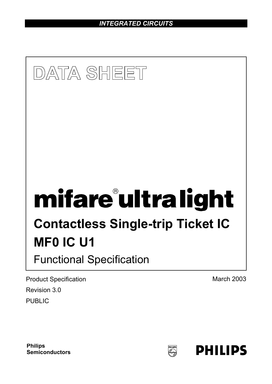*INTEGRATED CIRCUITS* 



Product Specification **March 2003** March 2003 Revision 3.0 PUBLIC

**Philips Semiconductors**

PHILPS<br>(E)

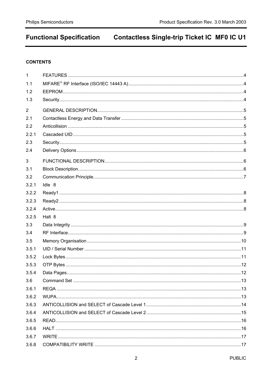## **CONTENTS**

| 1              |        |  |
|----------------|--------|--|
| 1.1            |        |  |
| 1.2            |        |  |
| 1.3            |        |  |
| $\overline{2}$ |        |  |
| 2.1            |        |  |
| 2.2            |        |  |
| 2.2.1          |        |  |
| 2.3            |        |  |
| 2.4            |        |  |
| $\mathfrak{S}$ |        |  |
| 3.1            |        |  |
| 3.2            |        |  |
| 3.2.1          | Idle 8 |  |
| 3.2.2          |        |  |
| 3.2.3          |        |  |
| 3.2.4          |        |  |
| 3.2.5          | Halt 8 |  |
|                |        |  |
| 3.3            |        |  |
| 3.4            |        |  |
| 3.5            |        |  |
| 3.5.1          |        |  |
| 3.5.2          |        |  |
| 3.5.3          |        |  |
| 3.5.4          |        |  |
| 3.6            |        |  |
| 3.6.1          |        |  |
| 3.6.2          |        |  |
| 3.6.3          |        |  |
| 3.6.4          |        |  |
| 3.6.5          |        |  |
| 3.6.6          |        |  |
| 3.6.7          |        |  |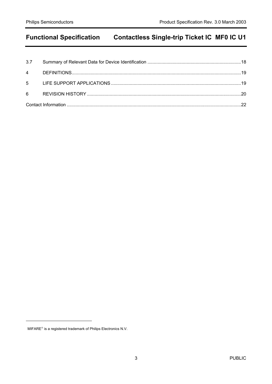l

 $MIFARE<sup>®</sup>$  is a registered trademark of Philips Electronics N.V.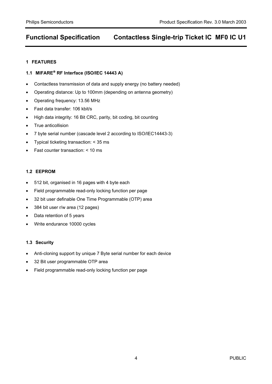### **1 FEATURES**

## **1.1 MIFARE RF Interface (ISO/IEC 14443 A)**

- Contactless transmission of data and supply energy (no battery needed)
- Operating distance: Up to 100mm (depending on antenna geometry)
- Operating frequency: 13.56 MHz
- Fast data transfer: 106 kbit/s
- High data integrity: 16 Bit CRC, parity, bit coding, bit counting
- True anticollision
- 7 byte serial number (cascade level 2 according to ISO/IEC14443-3)
- Typical ticketing transaction: < 35 ms
- Fast counter transaction: < 10 ms

### **1.2 EEPROM**

- 512 bit, organised in 16 pages with 4 byte each
- Field programmable read-only locking function per page
- 32 bit user definable One Time Programmable (OTP) area
- 384 bit user r/w area (12 pages)
- Data retention of 5 years
- Write endurance 10000 cycles

### **1.3 Security**

- Anti-cloning support by unique 7 Byte serial number for each device
- 32 Bit user programmable OTP area
- Field programmable read-only locking function per page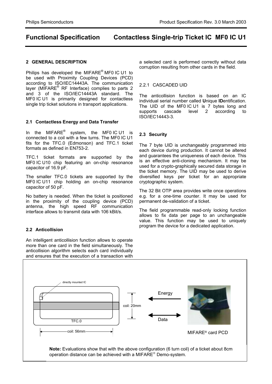#### **2 GENERAL DESCRIPTION**

Philips has developed the MIFARE<sup>®</sup> MF0 IC U1 to be used with Proximity Coupling Devices (PCD) according to ISO/IEC14443A. The communication layer (MIFARE<sup>®</sup> RF Interface) complies to parts 2 and 3 of the ISO/IEC14443A standard. The MF0 IC U1 is primarily designed for contactless single trip ticket solutions in transport applications.

#### **2.1 Contactless Energy and Data Transfer**

In the MIFARE $^{\circ}$  system, the MF0 IC U1 is connected to a coil with a few turns. The MF0 IC U1 fits for the TFC.0 (Edmonson) and TFC.1 ticket formats as defined in EN753-2.

TFC.1 ticket formats are supported by the MF0 IC U10 chip featuring an on-chip resonance capacitor of 16.9 pF.

The smaller TFC.0 tickets are supported by the MF0 IC U11 chip holding an on-chip resonance capacitor of 50 pF.

No battery is needed. When the ticket is positioned in the proximity of the coupling device (PCD) antenna, the high speed RF communication interface allows to transmit data with 106 kBit/s.

### **2.2 Anticollision**

An intelligent anticollision function allows to operate more than one card in the field simultaneously. The anticollision algorithm selects each card individually and ensures that the execution of a transaction with

a selected card is performed correctly without data corruption resulting from other cards in the field.

#### 2.2.1 CASCADED UID

The anticollision function is based on an IC individual serial number called **U**nique **ID**entification. The UID of the MF0 IC U1 is 7 bytes long and supports cascade level 2 according to ISO/IEC14443-3.

#### **2.3 Security**

The 7 byte UID is unchangeably programmed into each device during production. It cannot be altered and guarantees the uniqueness of each device. This is an effective anti-cloning mechanism. It may be used for a crypto-graphically secured data storage in the ticket memory. The UID may be used to derive diversified keys per ticket for an appropriate cryptographic system.

The 32 Bit OTP area provides write once operations e.g. for a one-time counter. It may be used for permanent de-validation of a ticket.

The field programmable read-only locking function allows to fix data per page to an unchangeable value. This function may be used to uniquely program the device for a dedicated application.

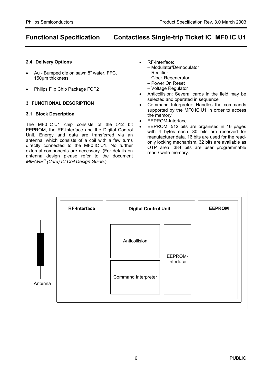#### **2.4 Delivery Options**

- Au Bumped die on sawn 8" wafer, FFC, 150µm thickness
- Philips Flip Chip Package FCP2

#### **3 FUNCTIONAL DESCRIPTION**

#### **3.1 Block Description**

The MF0 IC U1 chip consists of the 512 bit EEPROM, the RF-Interface and the Digital Control Unit. Energy and data are transferred via an antenna, which consists of a coil with a few turns directly connected to the MF0 IC U1. No further external components are necessary. (For details on antenna design please refer to the document *MIFARE (Card) IC Coil Design Guide*.)

- RF-Interface:
	- Modulator/Demodulator
		- Rectifier
		- Clock Regenerator
		- Power On Reset
		- Voltage Regulator
- Anticollision: Several cards in the field may be selected and operated in sequence
- Command Interpreter: Handles the commands supported by the MF0 IC U1 in order to access the memory
- EEPROM-Interface
- EEPROM: 512 bits are organised in 16 pages with 4 bytes each. 80 bits are reserved for manufacturer data. 16 bits are used for the readonly locking mechanism. 32 bits are available as OTP area. 384 bits are user programmable read / write memory.

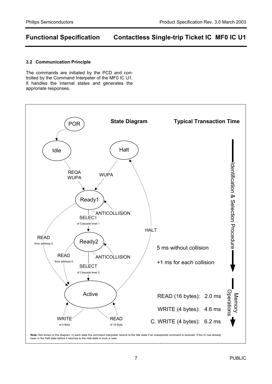#### **3.2 Communication Principle**

The commands are initiated by the PCD and controlled by the Command Interpeter of the MF0 IC U1. It handles the internal states and generates the approriate responses.

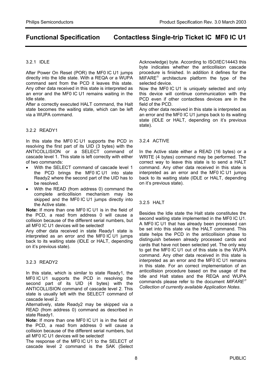#### 3.2.1 IDLE

After Power On Reset (POR) the MF0 IC U1 jumps directly into the Idle state. With a REQA or a WUPA command sent from the PCD it leaves this state. Any other data received in this state is interpreted as an error and the MF0 IC U1 remains waiting in the Idle state.

After a correctly executed HALT command, the Halt state becomes the waiting state, which can be left via a WUPA command.

#### 3.2.2 READY1

In this state the MF0 IC U1 supports the PCD in resolving the first part of its UID (3 bytes) with the ANTICOLLISION or a SELECT command of cascade level 1. This state is left correctly with either of two commands:

- With the SELECT command of cascade level 1 the PCD brings the MF0 IC U1 into state Ready2 where the second part of the UID has to be resolved.
- With the READ (from address 0) command the complete anticollision mechanism may be skipped and the MF0 IC U1 jumps directly into the Active state.

**Note:** If more than one MF0 IC U1 is in the field of the PCD, a read from address 0 will cause a collision because of the different serial numbers, but all MF0 IC U1 devices will be selected!

Any other data received in state Ready1 state is interpreted as an error and the MF0 IC U1 jumps back to its waiting state (IDLE or HALT, depending on it's previous state).

### 3.2.3 READY2

In this state, which is similar to state Ready1, the MF0 IC U1 supports the PCD in resolving the second part of its UID (4 bytes) with the ANTICOLLISION command of cascade level 2. This state is usually left with the SELECT command of cascade level 2.

Alternatively, state Ready2 may be skipped via a READ (from address 0) command as described in state Ready1.

**Note:** If more than one MF0 IC U1 is in the field of the PCD, a read from address 0 will cause a collision because of the different serial numbers, but all MF0 IC U1 devices will be selected!

The response of the MF0 IC U1 to the SELECT of cascade level 2 command is the SAK (Select

Acknowledge) byte. According to ISO/IEC14443 this byte indicates whether the anticollision cascade procedure is finished. In addition it defines for the  $MIFARE^{\circledcirc}$  architecture platform the type of the selected device.

Now the MF0 IC U1 is uniquely selected and only this device will continue communication with the PCD even if other contactless devices are in the field of the PCD.

Any other data received in this state is interpreted as an error and the MF0 IC U1 jumps back to its waiting state (IDLE or HALT, depending on it's previous state).

#### 3.2.4 ACTIVE

In the Active state either a READ (16 bytes) or a WRITE (4 bytes) command may be performed. The correct way to leave this state is to send a HALT command. Any other data received in this state is interpreted as an error and the MF0 IC U1 jumps back to its waiting state (IDLE or HALT, depending on it's previous state).

### 3.2.5 HALT

Besides the Idle state the Halt state constitutes the second waiting state implemented in the MF0 IC U1. A MF0 IC U1 that has already been processed can be set into this state via the HALT command. This state helps the PCD in the anticollision phase to distinguish between already processed cards and cards that have not been selected yet. The only way to get the MF0 IC U1 out of this state is the WUPA command. Any other data received in this state is interpreted as an error and the MF0 IC U1 remains in this state. For an correct implementation of an anticollision procedure based on the usage of the Idle and Halt states and the REQA and WUPA commands please refer to the document *MIFARE Collection of currently available Application Notes*.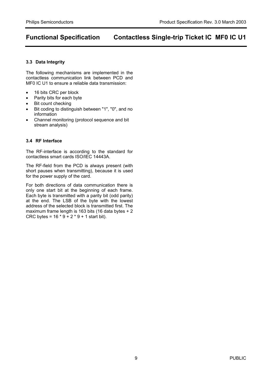#### **3.3 Data Integrity**

The following mechanisms are implemented in the contactless communication link between PCD and MF0 IC U1 to ensure a reliable data transmission:

- 16 bits CRC per block
- Parity bits for each byte
- Bit count checking
- Bit coding to distinguish between "1", "0", and no information
- Channel monitoring (protocol sequence and bit stream analysis)

### **3.4 RF Interface**

The RF-interface is according to the standard for contactless smart cards ISO/IEC 14443A.

The RF-field from the PCD is always present (with short pauses when transmitting), because it is used for the power supply of the card.

For both directions of data communication there is only one start bit at the beginning of each frame. Each byte is transmitted with a parity bit (odd parity) at the end. The LSB of the byte with the lowest address of the selected block is transmitted first. The maximum frame length is 163 bits (16 data bytes + 2 CRC bytes = 16 \* 9 + 2 \* 9 + 1 start bit).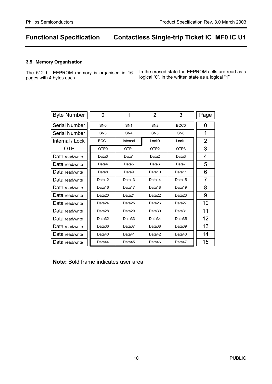#### **3.5 Memory Organisation**

 $\overline{1}$ 

The 512 bit EEPROM memory is organised in 16 pages with 4 bytes each.

In the erased state the EEPROM cells are read as a logical "0", in the written state as a logical "1"

| <b>Byte Number</b>   | $\overline{0}$   | 1                 | 2                 | 3                  | Page           |
|----------------------|------------------|-------------------|-------------------|--------------------|----------------|
| Serial Number        | SN <sub>0</sub>  | SN <sub>1</sub>   | SN <sub>2</sub>   | BCC <sub>0</sub>   | $\overline{0}$ |
| <b>Serial Number</b> | SN <sub>3</sub>  | SN <sub>4</sub>   | SN <sub>5</sub>   | SN <sub>6</sub>    | 1              |
| Internal / Lock      | BCC1             | Internal          | Lock <sub>0</sub> | Lock1              | $\overline{2}$ |
| <b>OTP</b>           | OTP <sub>0</sub> | OTP <sub>1</sub>  | OTP <sub>2</sub>  | OTP3               | 3              |
| Data read/write      | Data0            | Data1             | Data2             | Data3              | 4              |
| Data read/write      | Data4            | Data <sub>5</sub> | Data <sub>6</sub> | Data7              | 5              |
| Data read/write      | Data8            | Data9             | Data10            | Data11             | 6              |
| Data read/write      | Data12           | Data13            | Data14            | Data15             | $\overline{7}$ |
| Data read/write      | Data16           | Data17            | Data18            | Data19             | 8              |
| Data read/write      | Data20           | Data21            | Data22            | Data23             | 9              |
| Data read/write      | Data24           | Data25            | Data26            | Data <sub>27</sub> | 10             |
| Data read/write      | Data28           | Data29            | Data30            | Data31             | 11             |
| Data read/write      | Data32           | Data33            | Data34            | Data35             | 12             |
| Data read/write      | Data36           | Data37            | Data38            | Data39             | 13             |
| Data read/write      | Data40           | Data41            | Data42            | Data43             | 14             |
| Data read/write      | Data44           | Data45            | Data46            | Data47             | 15             |

**Note:** Bold frame indicates user area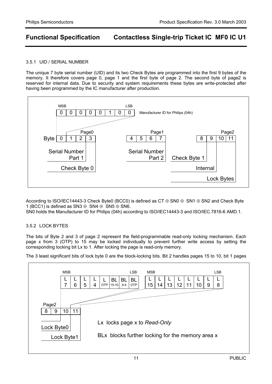### 3.5.1 UID / SERIAL NUMBER

The unique 7 byte serial number (UID) and its two Check Bytes are programmed into the first 9 bytes of the memory. It therefore covers page 0, page 1 and the first byte of page 2. The second byte of page2 is reserved for internal data. Due to security and system requirements these bytes are write-protected after having been programmed by the IC manufacturer after production.



According to ISO/IEC14443-3 Check Byte0 (BCC0) is defined as CT ⊕ SN0 ⊕ SN1 ⊕ SN2 and Check Byte 1 (BCC1) is defined as SN3 ⊕ SN4 ⊕ SN5 ⊕ SN6.

SN0 holds the Manufacturer ID for Philips (04h) according to ISO/IEC14443-3 and ISO/IEC.7816-6 AMD.1.

### 3.5.2 LOCK BYTES

The bits of Byte 2 and 3 of page 2 represent the field-programmable read-only locking mechanism. Each page x from 3 (OTP) to 15 may be locked individually to prevent further write access by setting the corresponding locking bit Lx to 1. After locking the page is read-only memory.



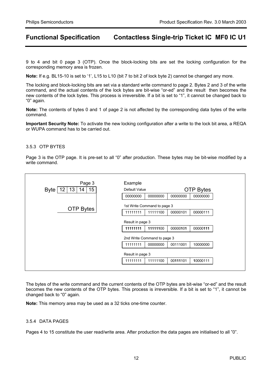9 to 4 and bit 0 page 3 (OTP). Once the block-locking bits are set the locking configuration for the corresponding memory area is frozen.

**Note:** If e.g. BL15-10 is set to '1', L15 to L10 (bit 7 to bit 2 of lock byte 2) cannot be changed any more.

The locking and block-locking bits are set via a standard write command to page 2. Bytes 2 and 3 of the write command, and the actual contents of the lock bytes are bit-wise "or-ed" and the result then becomes the new contents of the lock bytes. This process is irreversible. If a bit is set to "1", it cannot be changed back to "0" again.

**Note:** The contents of bytes 0 and 1 of page 2 is not affected by the corresponding data bytes of the write command.

**Important Security Note:** To activate the new locking configuration after a write to the lock bit area, a REQA or WUPA command has to be carried out.

### 3.5.3 OTP BYTES

Page 3 is the OTP page. It is pre-set to all "0" after production. These bytes may be bit-wise modified by a write command.

| Page 3<br>13<br>15<br>12<br>Byte  <br>14 | Example<br>Default Value |                                         |          | <b>OTP Bytes</b> |  |  |  |  |
|------------------------------------------|--------------------------|-----------------------------------------|----------|------------------|--|--|--|--|
|                                          | 00000000                 | 00000000                                | 00000000 | 00000000         |  |  |  |  |
| <b>OTP Bytes</b>                         | 11111111                 | 1st Write Command to page 3<br>11111100 | 00000101 | 00000111         |  |  |  |  |
| Result in page 3                         |                          |                                         |          |                  |  |  |  |  |
|                                          | 11111111                 | 11111100                                | 00000101 | 00000111         |  |  |  |  |
|                                          |                          | 2nd Write Command to page 3             |          |                  |  |  |  |  |
|                                          | 11111111                 | 00000000                                | 00111001 | 10000000         |  |  |  |  |
|                                          | Result in page 3         |                                         |          |                  |  |  |  |  |
|                                          | 11111111                 | 11111100                                | 00111101 | 10000111         |  |  |  |  |
|                                          |                          |                                         |          |                  |  |  |  |  |

The bytes of the write command and the current contents of the OTP bytes are bit-wise "or-ed" and the result becomes the new contents of the OTP bytes. This process is irreversible. If a bit is set to "1", it cannot be changed back to "0" again.

**Note:** This memory area may be used as a 32 ticks one-time counter.

#### 3.5.4 DATA PAGES

Pages 4 to 15 constitute the user read/write area. After production the data pages are initialised to all "0".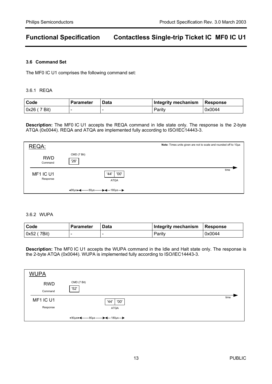#### **3.6 Command Set**

The MF0 IC U1 comprises the following command set:

#### 3.6.1 REQA

| Code        | <b>Parameter</b> | Data | Integrity mechanism | Response |
|-------------|------------------|------|---------------------|----------|
| 0x26(7 Bit) |                  |      | Parity              | 0x0044   |

**Description:** The MF0 IC U1 accepts the REQA command in Idle state only. The response is the 2-byte ATQA (0x0044). REQA and ATQA are implemented fully according to ISO/IEC14443-3.

| REQA:                 |                                                                                                                                                     | Note: Times units given are not to scale and rounded off to 10ps |
|-----------------------|-----------------------------------------------------------------------------------------------------------------------------------------------------|------------------------------------------------------------------|
| <b>RWD</b><br>Command | CMD (7 Bit)<br>'26'                                                                                                                                 |                                                                  |
| MF1 IC U1<br>Response | '00'<br>'44'<br><b>ATQA</b>                                                                                                                         | time                                                             |
|                       | $\triangleleft$ 90µs<br>-80µs —<br>$\blacktriangleright$ $\blacklozenge$ $\sqcup$ $\blacktriangleright$ $\blacktriangleright$ $\blacktriangleright$ |                                                                  |

#### 3.6.2 WUPA

| Code        | Parameter | Data | Integrity mechanism | Response |
|-------------|-----------|------|---------------------|----------|
| 0x52 (7Bit) |           |      | Paritv              | 0x0044   |

**Description:** The MF0 IC U1 accepts the WUPA command in the Idle and Halt state only. The response is the 2-byte ATQA (0x0044). WUPA is implemented fully according to ISO/IEC14443-3.

| <b>WUPA</b>           |                                                                                                                                     |      |
|-----------------------|-------------------------------------------------------------------------------------------------------------------------------------|------|
| <b>RWD</b><br>Command | CMD (7 Bit)<br>'52'                                                                                                                 |      |
| MF1 IC U1<br>Response | '00'<br>'44'<br><b>ATQA</b>                                                                                                         | time |
|                       | $\rightarrow$ 90 $\mu$ s $\rightarrow$ $\rightarrow$ 80 $\mu$ s $\rightarrow$ $\rightarrow$ $\rightarrow$ 180 $\mu$ s $\rightarrow$ |      |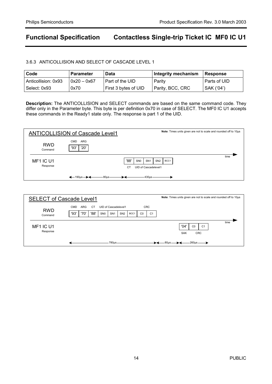### 3.6.3 ANTICOLLISION AND SELECT OF CASCADE LEVEL 1

| Code                | <b>Parameter</b> | Data                     | <b>Integrity mechanism</b> | Response       |
|---------------------|------------------|--------------------------|----------------------------|----------------|
| Anticollision: 0x93 | $0x20 - 0x67$    | Part of the UID          | Parity                     | l Parts of UID |
| Select: 0x93        | 0x70             | ' First 3 bytes of UID . | Parity, BCC, CRC           | SAK ('04')     |

**Description:** The ANTICOLLISION and SELECT commands are based on the same command code. They differ only in the Parameter byte. This byte is per definition 0x70 in case of SELECT. The MF0 IC U1 accepts these commands in the Ready1 state only. The response is part 1 of the UID.

| <b>ANTICOLLISION of Cascade Level1</b> |                                                |           |                 |                      |                 | Note: Times units given are not to scale and rounded off to 10ps |      |
|----------------------------------------|------------------------------------------------|-----------|-----------------|----------------------|-----------------|------------------------------------------------------------------|------|
| <b>RWD</b><br>Command                  | CMD<br>ARG<br>'20'<br>'93'                     |           |                 |                      |                 |                                                                  |      |
|                                        |                                                |           |                 |                      |                 |                                                                  | time |
| MF1 IC U1                              |                                                | '88'      | SN <sub>0</sub> | SN <sub>1</sub>      | SN <sub>2</sub> | BCC1                                                             |      |
| Response                               |                                                | <b>CT</b> |                 | UID of Cascadelevel1 |                 |                                                                  |      |
|                                        | $-80\mu s$<br>$\leftarrow$ 190us $\rightarrow$ |           |                 | $430µ$ s             |                 |                                                                  |      |

| Note: Times units given are not to scale and rounded off to 10ps<br><b>SELECT of Cascade Level1</b> |            |      |           |                 |                      |                 |      |                |                |                                                                              |
|-----------------------------------------------------------------------------------------------------|------------|------|-----------|-----------------|----------------------|-----------------|------|----------------|----------------|------------------------------------------------------------------------------|
|                                                                                                     | <b>CMD</b> | ARG  | <b>CT</b> |                 | UID of Cascadelevel1 |                 |      |                | <b>CRC</b>     |                                                                              |
| <b>RWD</b><br>Command                                                                               | '93'       | '70' | '88'      | SN <sub>0</sub> | SN <sub>1</sub>      | SN <sub>2</sub> | BCC1 | C <sub>0</sub> | C <sub>1</sub> |                                                                              |
| MF <sub>1</sub> IC U <sub>1</sub><br>Response                                                       |            |      |           |                 |                      |                 |      |                |                | time<br>'04'<br>C <sub>0</sub><br>C <sub>1</sub><br><b>CRC</b><br><b>SAK</b> |
|                                                                                                     |            |      |           |                 | 780us                |                 |      |                |                | -260us<br>–80µs-                                                             |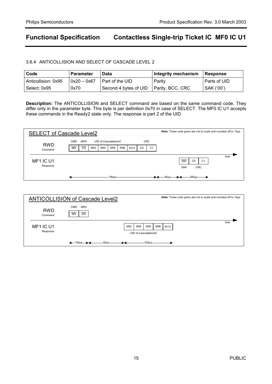### 3.6.4 ANTICOLLISION AND SELECT OF CASCADE LEVEL 2

| Code                | l Parameter           | Data                                     | Integrity mechanism   Response |              |
|---------------------|-----------------------|------------------------------------------|--------------------------------|--------------|
| Anticollision: 0x95 | $\vert$ 0x20 $-$ 0x67 | I Part of the UID                        | Parity                         | Parts of UID |
| Select: 0x95        | 0x70                  | Second 4 bytes of UID   Parity, BCC, CRC |                                | SAK ('00')   |

**Description:** The ANTICOLLISION and SELECT command are based on the same command code. They differ only in the parameter byte. This byte is per definition 0x70 in case of SELECT. The MF0 IC U1 accepts these commands in the Ready2 state only. The response is part 2 of the UID.

| Note: Times units given are not to scale and rounded off to 10µs<br><b>SELECT of Cascade Level2</b> |            |      |                 |                      |                 |                 |                  |    |                |                                                                              |
|-----------------------------------------------------------------------------------------------------|------------|------|-----------------|----------------------|-----------------|-----------------|------------------|----|----------------|------------------------------------------------------------------------------|
| <b>RWD</b>                                                                                          | <b>CMD</b> | ARG  |                 | UID of Cascadelevel1 |                 |                 |                  |    | <b>CRC</b>     |                                                                              |
| Command                                                                                             | '95'       | '70' | SN <sub>3</sub> | SN <sub>4</sub>      | SN <sub>5</sub> | SN <sub>6</sub> | BCC <sub>2</sub> | CO | C <sub>1</sub> |                                                                              |
| MF1 IC U1<br>Response                                                                               |            |      |                 |                      |                 |                 |                  |    |                | time<br>'00'<br>C <sub>0</sub><br>C <sub>1</sub><br><b>SAK</b><br><b>CRC</b> |
|                                                                                                     |            |      |                 |                      | 780µs           |                 |                  |    |                | 260us<br>— 80us —— 1                                                         |

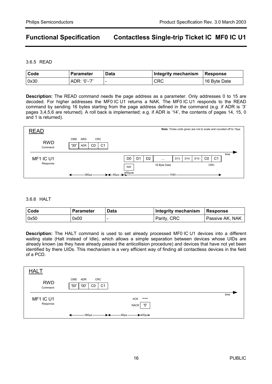3.6.5 READ

| l Code | <b>Parameter</b> | <b>Data</b> | Integrity mechanism | <b>Response</b> |
|--------|------------------|-------------|---------------------|-----------------|
| 0x30   | ADR: '0'-'7'     |             | CRC                 | 16 Byte Date    |

**Description:** The READ command needs the page address as a parameter. Only addresses 0 to 15 are decoded. For higher addresses the MF0 IC U1 returns a NAK. The MF0 IC U1 responds to the READ command by sending 16 bytes starting from the page address defined in the command (e.g. if ADR is '3' pages 3,4,5,6 are returned). A roll back is implemented; e.g. if ADR is '14', the contents of pages 14, 15, 0 and 1 is returned).

| <b>READ</b>           |                                                                                    |                      |                |              |                 |     |                 |    |                | Note: Times units given are not to scale and rounded off to 10ps |  |
|-----------------------|------------------------------------------------------------------------------------|----------------------|----------------|--------------|-----------------|-----|-----------------|----|----------------|------------------------------------------------------------------|--|
| <b>RWD</b><br>Command | <b>CMD</b><br><b>CRC</b><br>ARG<br>C <sub>1</sub><br>'30'<br>C <sub>0</sub><br>ADR |                      |                |              |                 |     |                 |    |                |                                                                  |  |
| MF1 IC U1             |                                                                                    | D <sub>0</sub><br>D1 | D <sub>2</sub> | $\cdots$     | D <sub>13</sub> | D14 | D <sub>15</sub> | CO | C <sub>1</sub> | time                                                             |  |
| Response              |                                                                                    | <b>NAK</b>           |                | 16 Byte Data |                 |     |                 |    | CRC            |                                                                  |  |
|                       | →←80µs→←<br>-360µs-                                                                | $-50 \mu s$          |                |              | 1540            |     |                 |    |                |                                                                  |  |

#### 3.6.6 HALT

| Code | <b>Parameter</b> | Data | Integrity mechanism Response |                 |
|------|------------------|------|------------------------------|-----------------|
| 0x50 | 0x00             |      | Parity, CRC                  | Passive AK, NAK |

**Description:** The HALT command is used to set already processed MF0 IC U1 devices into a different waiting state (Halt instead of Idle), which allows a simple separation between devices whose UIDs are already known (as they have already passed the anticollision procedure) and devices that have not yet been identified by there UIDs. This mechanism is a very efficient way of finding all contactless devices in the field of a PCD.

| <b>HALT</b>           |                                                                  |      |
|-----------------------|------------------------------------------------------------------|------|
| <b>RWD</b><br>Command | CRC<br>CMD<br><b>ADR</b><br>'00'<br>'50'<br>C <sub>1</sub><br>CO |      |
| MF1 IC U1<br>Response | ACK<br>---<br>'5'<br>NACK                                        | time |
|                       | -360µs<br>$\rightarrow$ -50 $\mu$ s ><br>$-80\mu s -$<br>⊷       |      |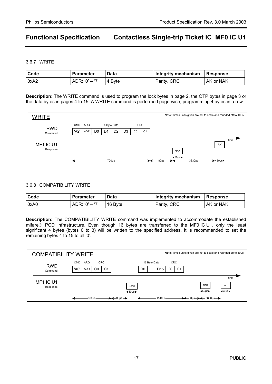3.6.7 WRITE

| Code | <b>Parameter</b> | <b>Data</b> | Integrity mechanism   Response |           |
|------|------------------|-------------|--------------------------------|-----------|
| 0xA2 | ' ADR: '0' – '7' | ∣4 B∨te     | Parity, CRC                    | AK or NAK |

**Description:** The WRITE command is used to program the lock bytes in page 2, the OTP bytes in page 3 or the data bytes in pages 4 to 15. A WRITE command is performed page-wise, programming 4 bytes in a row.

| <b>WRITE</b>          |                                                                                                                         | Note: Times units given are not to scale and rounded off to 10µs                            |
|-----------------------|-------------------------------------------------------------------------------------------------------------------------|---------------------------------------------------------------------------------------------|
|                       | 4 Byte Data<br><b>CRC</b><br>ARG<br>CMD                                                                                 |                                                                                             |
| <b>RWD</b><br>Command | 'A2'<br>D <sub>0</sub><br>D <sub>2</sub><br>D <sub>1</sub><br>ADR<br>D <sub>3</sub><br>C <sub>1</sub><br>C <sub>0</sub> |                                                                                             |
| MF1 IC U1<br>Response |                                                                                                                         | time<br>AK<br><b>NAK</b>                                                                    |
|                       | $700\mu s$                                                                                                              | $\triangleleft$ 50 $\mu$ s $\triangleright$<br>3830µs<br>$-80\mu s$<br>$\rightarrow$ 450 µs |

#### 3.6.8 COMPATIBILITY WRITE

| l Code | <b>Parameter</b> | Data    | Integrity mechanism   Response |           |
|--------|------------------|---------|--------------------------------|-----------|
| 0xA0   | $ADR: '0' - '7'$ | 16 Byte | Parity, CRC                    | AK or NAK |

**Description:** The COMPATIBILITY WRITE command was implemented to accommodate the established mifare<sup>®</sup> PCD infrastructure. Even though 16 bytes are transferred to the MF0 IC U1, only the least significant 4 bytes (bytes 0 to 3) will be written to the specified address. It is recommended to set the remaining bytes 4 to 15 to all '0'.

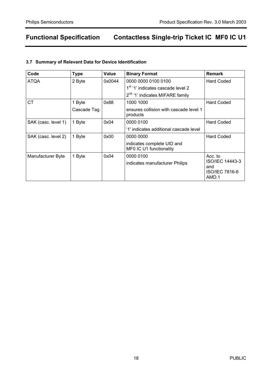## **3.7 Summary of Relevant Data for Device Identification**

| Code                | <b>Type</b> | Value  | <b>Binary Format</b>                                  | <b>Remark</b>                                     |
|---------------------|-------------|--------|-------------------------------------------------------|---------------------------------------------------|
| <b>ATQA</b>         | 2 Byte      | 0x0044 | 0000 0000 0100 0100                                   | Hard Coded                                        |
|                     |             |        | 1 <sup>st</sup> '1' indicates cascade level 2         |                                                   |
|                     |             |        | 2 <sup>nd</sup> '1' indicates MIFARE family           |                                                   |
| <b>CT</b>           | 1 Byte      | 0x88   | 1000 1000                                             | Hard Coded                                        |
|                     | Cascade Tag |        | ensures collision with cascade level 1<br>products    |                                                   |
| SAK (casc. level 1) | 1 Byte      | 0x04   | 0000 0100                                             | <b>Hard Coded</b>                                 |
|                     |             |        | '1' indicates additional cascade level                |                                                   |
| SAK (casc. level 2) | 1 Byte      | 0x00   | 0000 0000                                             | Hard Coded                                        |
|                     |             |        | indicates complete UID and<br>MF0 IC U1 functionality |                                                   |
| Manufacturer Byte   | 1 Byte      | 0x04   | 0000 0100                                             | Acc. to                                           |
|                     |             |        | indicates manufacturer Philips                        | ISO/IEC 14443-3<br>and<br>ISO/IEC 7816-6<br>AMD.1 |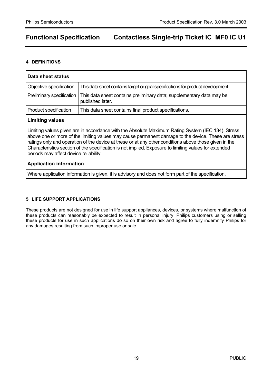### **4 DEFINITIONS**

| Data sheet status                                                                                                                                                                                                                                                                                                                                                                                                                                                    |                                                                                          |  |  |  |  |
|----------------------------------------------------------------------------------------------------------------------------------------------------------------------------------------------------------------------------------------------------------------------------------------------------------------------------------------------------------------------------------------------------------------------------------------------------------------------|------------------------------------------------------------------------------------------|--|--|--|--|
| Objective specification                                                                                                                                                                                                                                                                                                                                                                                                                                              | This data sheet contains target or goal specifications for product development.          |  |  |  |  |
| Preliminary specification                                                                                                                                                                                                                                                                                                                                                                                                                                            | This data sheet contains preliminary data; supplementary data may be<br>published later. |  |  |  |  |
| <b>Product specification</b>                                                                                                                                                                                                                                                                                                                                                                                                                                         | This data sheet contains final product specifications.                                   |  |  |  |  |
| <b>Limiting values</b>                                                                                                                                                                                                                                                                                                                                                                                                                                               |                                                                                          |  |  |  |  |
| Limiting values given are in accordance with the Absolute Maximum Rating System (IEC 134). Stress<br>above one or more of the limiting values may cause permanent damage to the device. These are stress<br>ratings only and operation of the device at these or at any other conditions above those given in the<br>Characteristics section of the specification is not implied. Exposure to limiting values for extended<br>periods may affect device reliability. |                                                                                          |  |  |  |  |
| <b>Application information</b>                                                                                                                                                                                                                                                                                                                                                                                                                                       |                                                                                          |  |  |  |  |
| Where application information is given, it is advisory and does not form part of the specification.                                                                                                                                                                                                                                                                                                                                                                  |                                                                                          |  |  |  |  |

## **5 LIFE SUPPORT APPLICATIONS**

These products are not designed for use in life support appliances, devices, or systems where malfunction of these products can reasonably be expected to result in personal injury. Philips customers using or selling these products for use in such applications do so on their own risk and agree to fully indemnify Philips for any damages resulting from such improper use or sale.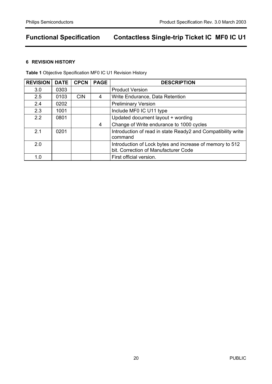### **6 REVISION HISTORY**

**Table 1** Objective Specification MF0 IC U1 Revision History

| <b>REVISION</b> | <b>DATE</b> | <b>CPCN</b> | <b>PAGE</b> | <b>DESCRIPTION</b>                                                                               |
|-----------------|-------------|-------------|-------------|--------------------------------------------------------------------------------------------------|
| 3.0             | 0303        |             |             | <b>Product Version</b>                                                                           |
| 2.5             | 0103        | <b>CIN</b>  | 4           | Write Endurance, Data Retention                                                                  |
| 2.4             | 0202        |             |             | <b>Preliminary Version</b>                                                                       |
| 2.3             | 1001        |             |             | Include MF0 IC U11 type                                                                          |
| 2.2             | 0801        |             |             | Updated document layout + wording                                                                |
|                 |             |             | 4           | Change of Write endurance to 1000 cycles                                                         |
| 2.1             | 0201        |             |             | Introduction of read in state Ready2 and Compatibility write<br>command                          |
| 2.0             |             |             |             | Introduction of Lock bytes and increase of memory to 512<br>bit. Correction of Manufacturer Code |
| 1.0             |             |             |             | First official version.                                                                          |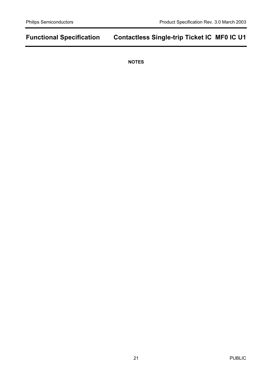**NOTES**